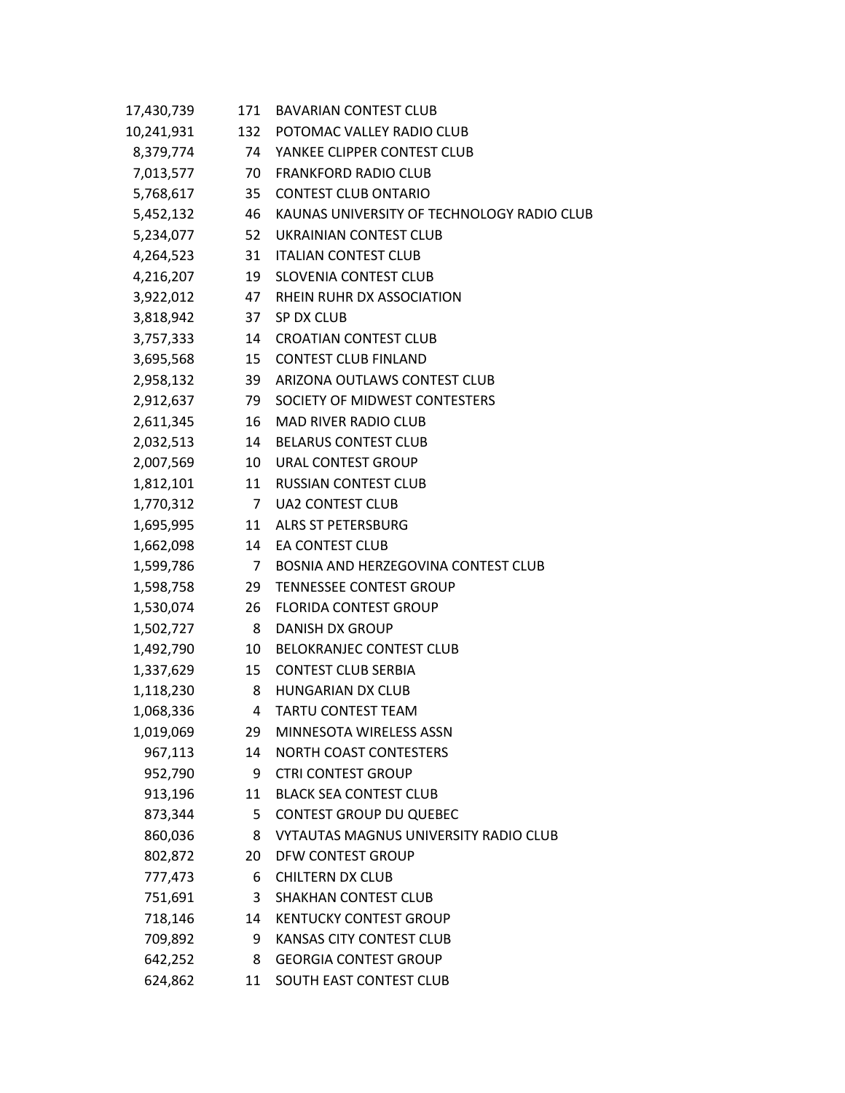| 17,430,739   | 171            | <b>BAVARIAN CONTEST CLUB</b>                  |
|--------------|----------------|-----------------------------------------------|
| 10,241,931   |                | 132 POTOMAC VALLEY RADIO CLUB                 |
|              |                | 8,379,774 74 YANKEE CLIPPER CONTEST CLUB      |
|              |                | 7,013,577 70 FRANKFORD RADIO CLUB             |
| 5,768,617    |                | 35 CONTEST CLUB ONTARIO                       |
| 5,452,132    |                | 46 KAUNAS UNIVERSITY OF TECHNOLOGY RADIO CLUB |
|              |                | 5,234,077 52 UKRAINIAN CONTEST CLUB           |
|              |                | 4,264,523 31 ITALIAN CONTEST CLUB             |
| 4,216,207    | 19             | SLOVENIA CONTEST CLUB                         |
|              |                | 3,922,012 47 RHEIN RUHR DX ASSOCIATION        |
| 3,818,942    |                | 37 SP DX CLUB                                 |
| 3,757,333 14 |                | <b>CROATIAN CONTEST CLUB</b>                  |
| 3,695,568    |                | 15 CONTEST CLUB FINLAND                       |
| 2,958,132    |                | 39 ARIZONA OUTLAWS CONTEST CLUB               |
| 2,912,637    |                | 79 SOCIETY OF MIDWEST CONTESTERS              |
| 2,611,345    | 16             | <b>MAD RIVER RADIO CLUB</b>                   |
| 2,032,513    |                | 14 BELARUS CONTEST CLUB                       |
| 2,007,569    |                | 10 URAL CONTEST GROUP                         |
|              |                | 1,812,101 11 RUSSIAN CONTEST CLUB             |
|              |                | 1,770,312 7 UA2 CONTEST CLUB                  |
| 1,695,995    |                | 11 ALRS ST PETERSBURG                         |
| 1,662,098    |                | 14 EA CONTEST CLUB                            |
| 1,599,786    | $\overline{7}$ | BOSNIA AND HERZEGOVINA CONTEST CLUB           |
| 1,598,758    | 29             | <b>TENNESSEE CONTEST GROUP</b>                |
| 1,530,074    | 26             | <b>FLORIDA CONTEST GROUP</b>                  |
| 1,502,727 8  |                | <b>DANISH DX GROUP</b>                        |
| 1,492,790    | 10             | BELOKRANJEC CONTEST CLUB                      |
| 1,337,629    | 15             | <b>CONTEST CLUB SERBIA</b>                    |
| 1,118,230    | 8              | HUNGARIAN DX CLUB                             |
| 1,068,336    |                | 4 TARTU CONTEST TEAM                          |
| 1,019,069    | 29             | MINNESOTA WIRELESS ASSN                       |
| 967,113      | 14             | <b>NORTH COAST CONTESTERS</b>                 |
| 952,790      | 9              | <b>CTRI CONTEST GROUP</b>                     |
| 913,196      | 11             | <b>BLACK SEA CONTEST CLUB</b>                 |
| 873,344      | 5              | <b>CONTEST GROUP DU QUEBEC</b>                |
| 860,036      | 8              | VYTAUTAS MAGNUS UNIVERSITY RADIO CLUB         |
| 802,872      | 20             | DFW CONTEST GROUP                             |
| 777,473      | 6              | <b>CHILTERN DX CLUB</b>                       |
| 751,691      | 3              | <b>SHAKHAN CONTEST CLUB</b>                   |
| 718,146      | 14             | <b>KENTUCKY CONTEST GROUP</b>                 |
| 709,892      | 9              | KANSAS CITY CONTEST CLUB                      |
| 642,252      | 8              | <b>GEORGIA CONTEST GROUP</b>                  |
| 624,862      | 11             | SOUTH EAST CONTEST CLUB                       |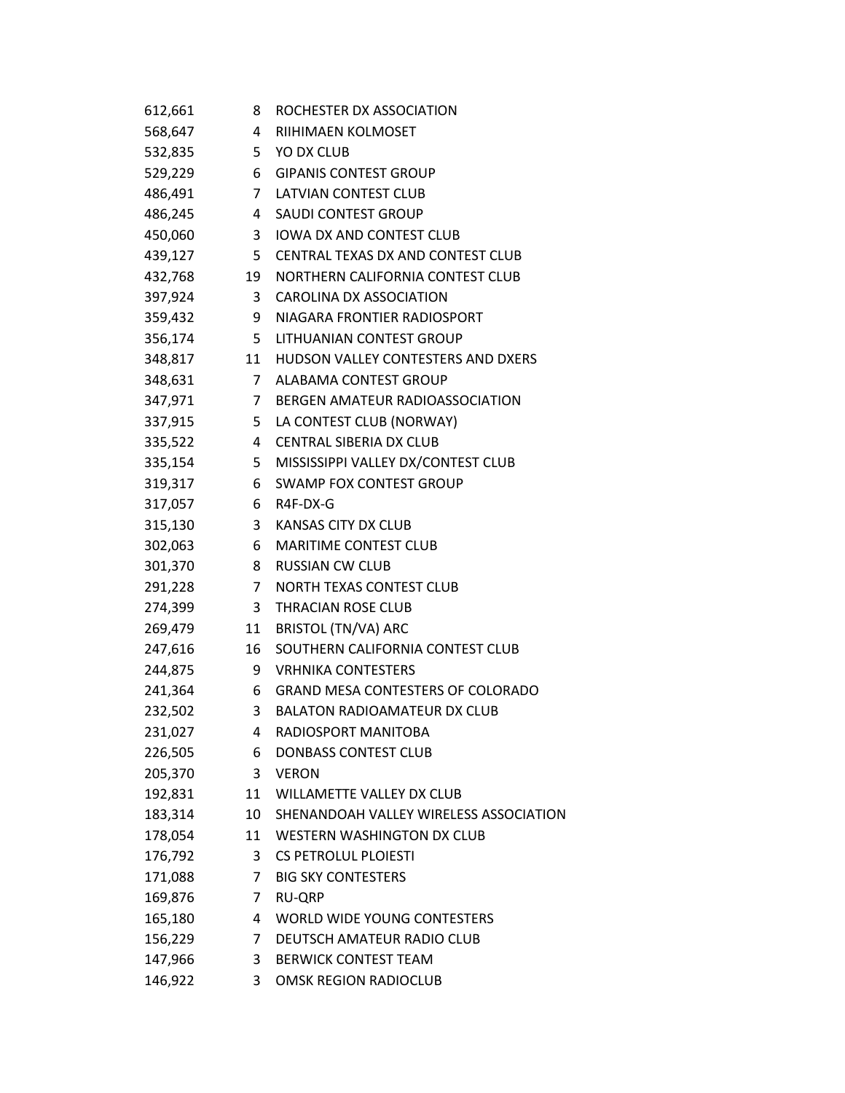| 612,661 | 8  | ROCHESTER DX ASSOCIATION                 |
|---------|----|------------------------------------------|
| 568,647 | 4  | <b>RIIHIMAEN KOLMOSET</b>                |
| 532,835 |    | 5 YO DX CLUB                             |
| 529,229 |    | 6 GIPANIS CONTEST GROUP                  |
| 486,491 |    | 7 LATVIAN CONTEST CLUB                   |
| 486,245 |    | 4 SAUDI CONTEST GROUP                    |
| 450,060 | 3  | <b>IOWA DX AND CONTEST CLUB</b>          |
| 439,127 |    | 5 CENTRAL TEXAS DX AND CONTEST CLUB      |
| 432,768 |    | 19 NORTHERN CALIFORNIA CONTEST CLUB      |
| 397,924 |    | 3 CAROLINA DX ASSOCIATION                |
| 359,432 |    | 9 NIAGARA FRONTIER RADIOSPORT            |
| 356,174 |    | 5 LITHUANIAN CONTEST GROUP               |
| 348,817 |    | 11 HUDSON VALLEY CONTESTERS AND DXERS    |
| 348,631 |    | 7 ALABAMA CONTEST GROUP                  |
| 347,971 |    | 7 BERGEN AMATEUR RADIOASSOCIATION        |
| 337,915 |    | 5 LA CONTEST CLUB (NORWAY)               |
| 335,522 |    | 4 CENTRAL SIBERIA DX CLUB                |
| 335,154 |    | 5 MISSISSIPPI VALLEY DX/CONTEST CLUB     |
| 319,317 |    | 6 SWAMP FOX CONTEST GROUP                |
| 317,057 |    | 6 R4F-DX-G                               |
| 315,130 |    | 3 KANSAS CITY DX CLUB                    |
| 302,063 |    | 6 MARITIME CONTEST CLUB                  |
| 301,370 |    | 8 RUSSIAN CW CLUB                        |
| 291,228 |    | 7 NORTH TEXAS CONTEST CLUB               |
| 274,399 | 3  | THRACIAN ROSE CLUB                       |
| 269,479 | 11 | BRISTOL (TN/VA) ARC                      |
| 247,616 | 16 | SOUTHERN CALIFORNIA CONTEST CLUB         |
| 244,875 |    | 9 VRHNIKA CONTESTERS                     |
| 241,364 | 6  | <b>GRAND MESA CONTESTERS OF COLORADO</b> |
| 232,502 |    | 3 BALATON RADIOAMATEUR DX CLUB           |
| 231,027 | 4  | RADIOSPORT MANITOBA                      |
| 226,505 | 6  | <b>DONBASS CONTEST CLUB</b>              |
| 205,370 | 3  | <b>VERON</b>                             |
| 192,831 | 11 | <b>WILLAMETTE VALLEY DX CLUB</b>         |
| 183,314 | 10 | SHENANDOAH VALLEY WIRELESS ASSOCIATION   |
| 178,054 | 11 | <b>WESTERN WASHINGTON DX CLUB</b>        |
| 176,792 | 3  | <b>CS PETROLUL PLOIESTI</b>              |
| 171,088 | 7  | <b>BIG SKY CONTESTERS</b>                |
| 169,876 | 7  | <b>RU-QRP</b>                            |
| 165,180 | 4  | WORLD WIDE YOUNG CONTESTERS              |
| 156,229 | 7  | DEUTSCH AMATEUR RADIO CLUB               |
| 147,966 | 3  | <b>BERWICK CONTEST TEAM</b>              |
| 146,922 | 3  | <b>OMSK REGION RADIOCLUB</b>             |